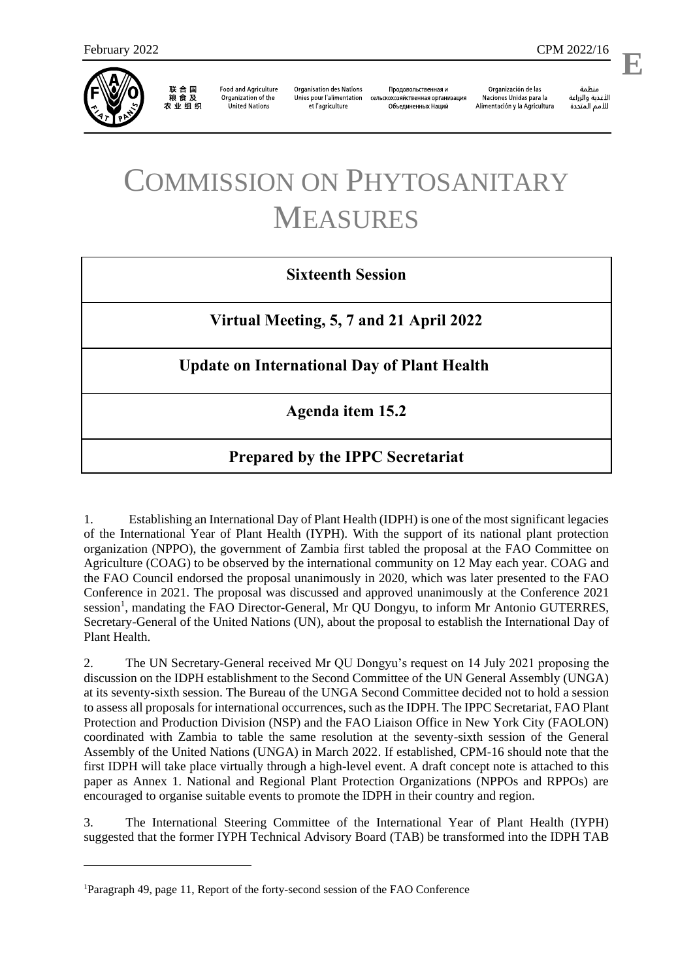

联合国<br>粮食及 农业组织

**Food and Agriculture** Organization of the **United Nations** 

**Organisation des Nations** Unies pour l'alimentation et l'agriculture

Продовольственная и сельскохозяйственная организация Объелиненных Наций

Organización de las Naciones Unidas para la Alimentación y la Agricultura

منظمة الأغذية والزراعة للأمم المتحدة

# COMMISSION ON PHYTOSANITARY MEASURES

# **Sixteenth Session**

**Virtual Meeting, 5, 7 and 21 April 2022**

**Update on International Day of Plant Health**

**Agenda item 15.2**

# **Prepared by the IPPC Secretariat**

1. Establishing an International Day of Plant Health (IDPH) is one of the most significant legacies of the International Year of Plant Health (IYPH). With the support of its national plant protection organization (NPPO), the government of Zambia first tabled the proposal at the FAO Committee on Agriculture (COAG) to be observed by the international community on 12 May each year. COAG and the FAO Council endorsed the proposal unanimously in 2020, which was later presented to the FAO Conference in 2021. The proposal was discussed and approved unanimously at the Conference 2021 session<sup>1</sup>, mandating the FAO Director-General, Mr QU Dongyu, to inform Mr Antonio GUTERRES, Secretary-General of the United Nations (UN), about the proposal to establish the International Day of Plant Health.

2. The UN Secretary-General received Mr QU Dongyu's request on 14 July 2021 proposing the discussion on the IDPH establishment to the Second Committee of the UN General Assembly (UNGA) at its seventy-sixth session. The Bureau of the UNGA Second Committee decided not to hold a session to assess all proposals for international occurrences, such as the IDPH. The IPPC Secretariat, FAO Plant Protection and Production Division (NSP) and the FAO Liaison Office in New York City (FAOLON) coordinated with Zambia to table the same resolution at the seventy-sixth session of the General Assembly of the United Nations (UNGA) in March 2022. If established, CPM-16 should note that the first IDPH will take place virtually through a high-level event. A draft concept note is attached to this paper as Annex 1. National and Regional Plant Protection Organizations (NPPOs and RPPOs) are encouraged to organise suitable events to promote the IDPH in their country and region.

3. The International Steering Committee of the International Year of Plant Health (IYPH) suggested that the former IYPH Technical Advisory Board (TAB) be transformed into the IDPH TAB

<sup>1</sup>Paragraph 49, page 11[, Report of the forty-second session of the FAO Conference](http://www.fao.org/3/ng169en/ng169en.pdf)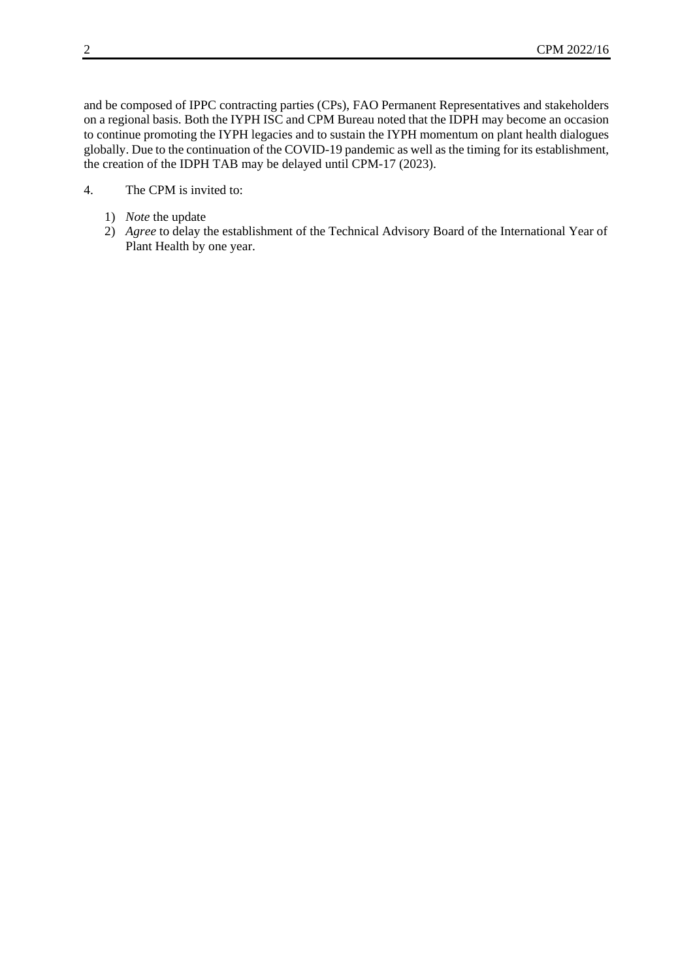and be composed of IPPC contracting parties (CPs), FAO Permanent Representatives and stakeholders on a regional basis. Both the IYPH ISC and CPM Bureau noted that the IDPH may become an occasion to continue promoting the IYPH legacies and to sustain the IYPH momentum on plant health dialogues globally. Due to the continuation of the COVID-19 pandemic as well as the timing for its establishment, the creation of the IDPH TAB may be delayed until CPM-17 (2023).

- 4. The CPM is invited to:
	- 1) *Note* the update
	- 2) *Agree* to delay the establishment of the Technical Advisory Board of the International Year of Plant Health by one year.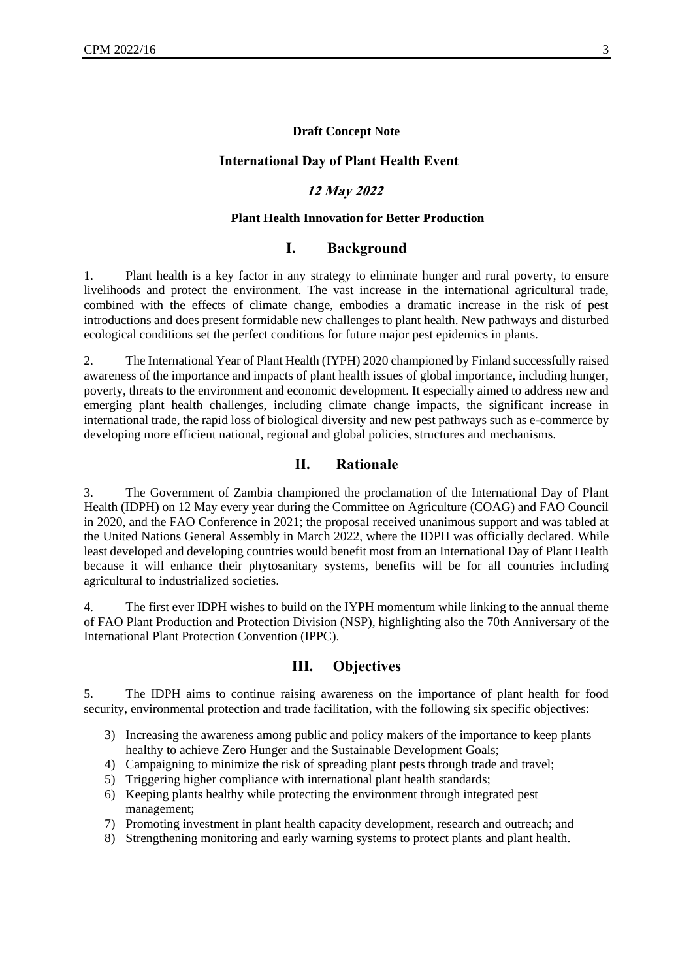#### **Draft Concept Note**

#### **International Day of Plant Health Event**

### **12 May 2022**

#### **Plant Health Innovation for Better Production**

## **I. Background**

1. Plant health is a key factor in any strategy to eliminate hunger and rural poverty, to ensure livelihoods and protect the environment. The vast increase in the international agricultural trade, combined with the effects of climate change, embodies a dramatic increase in the risk of pest introductions and does present formidable new challenges to plant health. New pathways and disturbed ecological conditions set the perfect conditions for future major pest epidemics in plants.

2. The International Year of Plant Health (IYPH) 2020 championed by Finland successfully raised awareness of the importance and impacts of plant health issues of global importance, including hunger, poverty, threats to the environment and economic development. It especially aimed to address new and emerging plant health challenges, including climate change impacts, the significant increase in international trade, the rapid loss of biological diversity and new pest pathways such as e-commerce by developing more efficient national, regional and global policies, structures and mechanisms.

#### **II. Rationale**

3. The Government of Zambia championed the proclamation of the International Day of Plant Health (IDPH) on 12 May every year during the Committee on Agriculture (COAG) and FAO Council in 2020, and the FAO Conference in 2021; the proposal received unanimous support and was tabled at the United Nations General Assembly in March 2022, where the IDPH was officially declared. While least developed and developing countries would benefit most from an International Day of Plant Health because it will enhance their phytosanitary systems, benefits will be for all countries including agricultural to industrialized societies.

4. The first ever IDPH wishes to build on the IYPH momentum while linking to the annual theme of FAO Plant Production and Protection Division (NSP), highlighting also the 70th Anniversary of the International Plant Protection Convention (IPPC).

#### **III. Objectives**

5. The IDPH aims to continue raising awareness on the importance of plant health for food security, environmental protection and trade facilitation, with the following six specific objectives:

- 3) Increasing the awareness among public and policy makers of the importance to keep plants healthy to achieve Zero Hunger and the Sustainable Development Goals;
- 4) Campaigning to minimize the risk of spreading plant pests through trade and travel;
- 5) Triggering higher compliance with international plant health standards;
- 6) Keeping plants healthy while protecting the environment through integrated pest management;
- 7) Promoting investment in plant health capacity development, research and outreach; and
- 8) Strengthening monitoring and early warning systems to protect plants and plant health.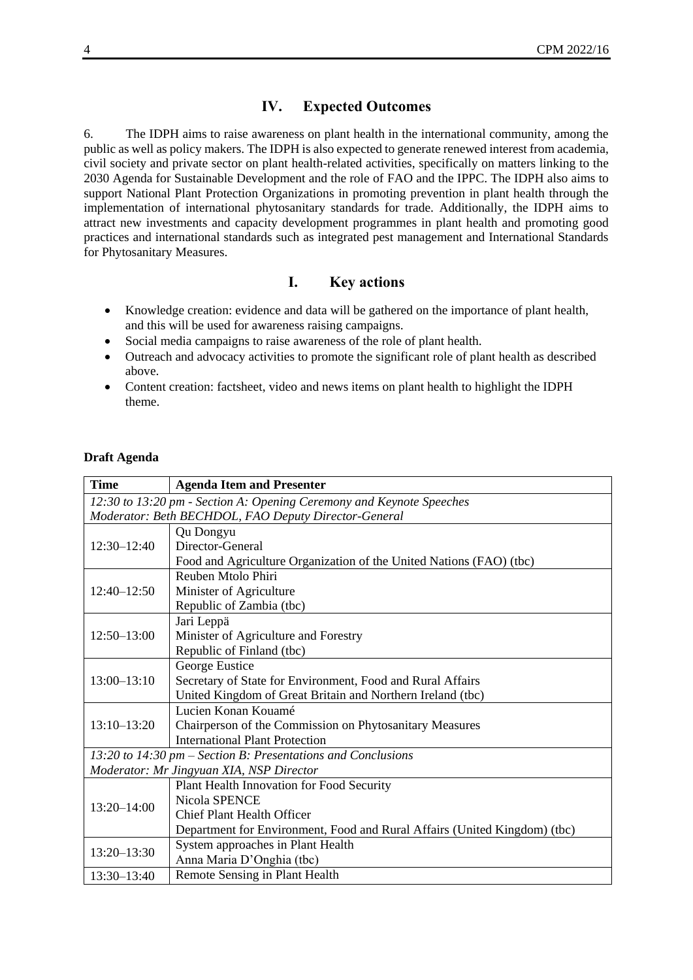## **IV. Expected Outcomes**

6. The IDPH aims to raise awareness on plant health in the international community, among the public as well as policy makers. The IDPH is also expected to generate renewed interest from academia, civil society and private sector on plant health-related activities, specifically on matters linking to the 2030 Agenda for Sustainable Development and the role of FAO and the IPPC. The IDPH also aims to support National Plant Protection Organizations in promoting prevention in plant health through the implementation of international phytosanitary standards for trade. Additionally, the IDPH aims to attract new investments and capacity development programmes in plant health and promoting good practices and international standards such as integrated pest management and International Standards for Phytosanitary Measures.

## **I. Key actions**

- Knowledge creation: evidence and data will be gathered on the importance of plant health, and this will be used for awareness raising campaigns.
- Social media campaigns to raise awareness of the role of plant health.
- Outreach and advocacy activities to promote the significant role of plant health as described above.
- Content creation: factsheet, video and news items on plant health to highlight the IDPH theme.

#### **Draft Agenda**

| <b>Time</b>                                                          | <b>Agenda Item and Presenter</b>                                          |  |
|----------------------------------------------------------------------|---------------------------------------------------------------------------|--|
| 12:30 to 13:20 pm - Section A: Opening Ceremony and Keynote Speeches |                                                                           |  |
| Moderator: Beth BECHDOL, FAO Deputy Director-General                 |                                                                           |  |
| $12:30 - 12:40$                                                      | Qu Dongyu                                                                 |  |
|                                                                      | Director-General                                                          |  |
|                                                                      | Food and Agriculture Organization of the United Nations (FAO) (tbc)       |  |
| $12:40 - 12:50$                                                      | Reuben Mtolo Phiri                                                        |  |
|                                                                      | Minister of Agriculture                                                   |  |
|                                                                      | Republic of Zambia (tbc)                                                  |  |
| $12:50 - 13:00$                                                      | Jari Leppä                                                                |  |
|                                                                      | Minister of Agriculture and Forestry                                      |  |
|                                                                      | Republic of Finland (tbc)                                                 |  |
| $13:00 - 13:10$                                                      | George Eustice                                                            |  |
|                                                                      | Secretary of State for Environment, Food and Rural Affairs                |  |
|                                                                      | United Kingdom of Great Britain and Northern Ireland (tbc)                |  |
| $13:10 - 13:20$                                                      | Lucien Konan Kouamé                                                       |  |
|                                                                      | Chairperson of the Commission on Phytosanitary Measures                   |  |
|                                                                      | <b>International Plant Protection</b>                                     |  |
| 13:20 to 14:30 pm – Section B: Presentations and Conclusions         |                                                                           |  |
| Moderator: Mr Jingyuan XIA, NSP Director                             |                                                                           |  |
| $13:20 - 14:00$                                                      | Plant Health Innovation for Food Security                                 |  |
|                                                                      | Nicola SPENCE                                                             |  |
|                                                                      | <b>Chief Plant Health Officer</b>                                         |  |
|                                                                      | Department for Environment, Food and Rural Affairs (United Kingdom) (tbc) |  |
| $13:20 - 13:30$                                                      | System approaches in Plant Health                                         |  |
|                                                                      | Anna Maria D'Onghia (tbc)                                                 |  |
| $13:30 - 13:40$                                                      | Remote Sensing in Plant Health                                            |  |